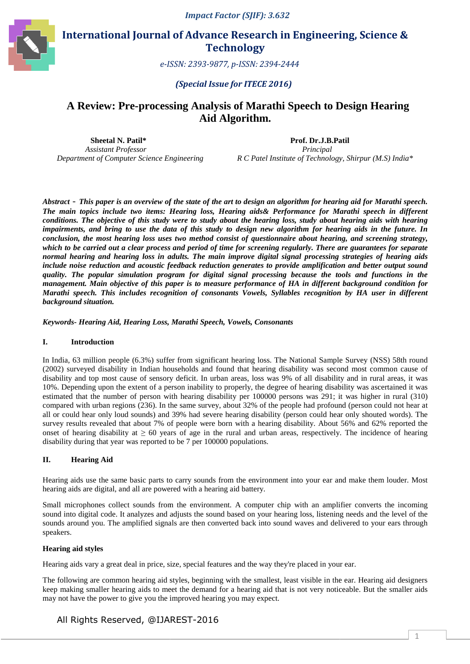

**International Journal of Advance Research in Engineering, Science & Technology** 

 *e-ISSN: 2393 ISSN: 2393-9877, p-ISSN: 2394-2444* 

*(Special Issue for ITECE 2016)* 

## A Review: Pre-processing Analysis of Marathi Speech to Design Hearing **Aid Algorithm.**

 **Sheetal N. Patil\***  *Assistant Professor Department of Computer Science Engineering* 

 **Prof. Dr.J.B.Patil Dr.J.B.Patil**  *Principal R C Patel Institute of Technology, Shirpur (M.S) India India\** 

*Abstract* - *This paper is an overview of the state of the art to design an algorithm for hearing aid for Marathi speech. The main topics include two items: Hearing loss, Hearing aids& Performance for Marathi speech in different conditions. The objective of this study were to study about the hearing loss, study about hearing aids with hearing*  impairments, and bring to use the data of this study to design new algorithm for hearing aids in the future. In *conclusion, the most hearing loss uses two method consist of questionnaire about hearing, and screening strategy, which to be carried out a clear process and period of time for scr screening regularly. There are guarantees for separate normal hearing and hearing loss in adults. The main improve digital signal processing strategies of hearing aids include noise reduction and acoustic feedback reduction generates to provide amplification and better output sound quality. The popular simulation program for digital signal processing because the tools and functions in the management. Main objective of this paper is to measure performance of HA in different background condition for Marathi speech. This includes recognition of consonants Vowels, Syllables recognition by HA user in different ch. background situation. ta of this study to design new algorithm for hearing aids in the future. In* two method consist of questionnaire about hearing, and screening strategy, and period of time for screening regularly. There are guarantees for

*Keywords- Hearing Aid, Hearing Loss, Marathi Speech, Vowels, Consonants*

#### **I. Introduction**

In India, 63 million people (6.3%) suffer from significant hearing loss. The National Sample Survey (NSS) 58th round (2002) surveyed disability in Indian households and found that hearing disability was second most common cause of disability and top most cause of sensory deficit. In urban areas, loss was 9% of all disability and in rural areas, it was 10%. Depending upon the extent of a person inability to properly, the degree of hearing disability was ascertained it was estimated that the number of person with hearing disability per 100000 persons was 291; it was higher in rural (310) compared with urban regions (236). In the same survey, about 32% of the people had profound (person could not hear at estimated that the number of person with hearing disability per 100000 persons was 291; it was higher in rural (310) compared with urban regions (236). In the same survey, about 32% of the people had profound (person could survey results revealed that about 7% of people were born with a hearing disability. About 56% and 62% reported the onset of hearing disability at  $\geq 60$  years of age in the rural and urban areas, respectively. The incidence of hearing disability during that year was reported to be 7 per 100000 populations.

## **II. Hearing Aid**

Hearing aids use the same basic parts to carry sounds from the environment into your ear and make them louder. Most hearing aids are digital, and all are powered with a hearing aid battery.

Small microphones collect sounds from the environment. A computer chip with an amplifier converts the incoming sound into digital code. It analyzes and adjusts the sound based on your hearing loss, listening needs and the level of the sounds around you. The amplified signals are then converted back into sound waves and delivered to your ears through speakers.

#### **Hearing aid styles**

Hearing aids vary a great deal in price, size, special features and the way they're placed in your ear.

The following are common hearing aid styles, beginning with the smallest, least visible in the ear. Hearing aid designers keep making smaller hearing aids to meet the demand for a hearing aid that is not very noticeable. But the smaller aids may not have the power to give you the improved hearing you may expect.

## All Rights Reserved, @IJAREST @IJAREST-2016

1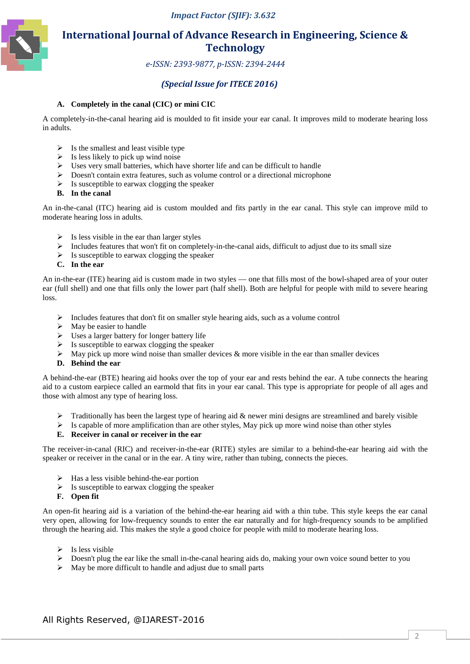

# **International Journal of Advance Research in Engineering, Science & Technology**

 *e-ISSN: 2393 ISSN: 2393-9877, p-ISSN: 2394-2444* 

## *(Special Issue for for ITECE 2016)*

## **A. Completely in the canal (CIC) or mini CIC**

A completely-in-the-canal hearing aid is moulded to fit inside your ear canal. It improves mild to moderate hearing loss in adults.

- $\triangleright$  Is the smallest and least visible type
- $\triangleright$  Is less likely to pick up wind noise
- $\triangleright$  Uses very small batteries, which have shorter life and can be difficult to handle
- $\triangleright$  Doesn't contain extra features, such as volume control or a directional microphone
- $\triangleright$  Is susceptible to earwax clogging the speaker
- **B. In the canal**

An in-the-canal (ITC) hearing aid is custom moulded and fits partly in the ear canal. This style can improve mild to moderate hearing loss in adults.

- $\triangleright$  Is less visible in the ear than larger styles
- $\triangleright$  Includes features that won't fit on completely-in-the-canal aids, difficult to adjust due to its small size
- $\triangleright$  Is susceptible to earwax clogging the speaker
- **C. In the ear**

An in-the-ear (ITE) hearing aid is custom made in two styles — one that fills most of the bowl-shaped area of your outer ear (full shell) and one that fills only the lower part (half shell). Both are helpful for people with mild to severe hearing loss. I) and one that fills only the lower part (half shell). Both are helpful for people with mild to<br>udes features that don't fit on smaller style hearing aids, such as a volume control<br>y be easier to handle<br>s a larger battery

- $\triangleright$  Includes features that don't fit on smaller style hearing aids, such as a volume control
- $\triangleright$  May be easier to handle
- $\triangleright$  Uses a larger battery for longer battery life
- $\triangleright$  Is susceptible to earwax clogging the speaker
- $\triangleright$  May pick up more wind noise than smaller devices & more visible in the ear than smaller devices
- **D. Behind the ear**

A behind-the-ear (BTE) hearing aid hooks over the top of your ear and rests behind the ear. A tube connects the hearing aid to a custom earpiece called an earmold that fits in your ear canal. This type is appropriate for people of all ages and those with almost any type of hearing loss.

- $\triangleright$  Traditionally has been the largest type of hearing aid & newer mini designs are streamlined and barely visible
- $\triangleright$  Is capable of more amplification than are other styles, May pick up more wind noise than other styles

#### **E. Receiver in canal or receiver in the ear**

The receiver-in-canal (RIC) and receiver-in-the-ear (RITE) styles are similar to a behind-the-ear hearing aid with the speaker or receiver in the canal or in the ear. A tiny wire, rather than tubing, connects the pieces.

- $\triangleright$  Has a less visible behind-the-ear portion
- $\triangleright$  Is susceptible to earwax clogging the speaker
- **F. Open fit**

→ Has a less visible behind-the-ear portion<br>
→ Is susceptible to earwax clogging the speaker<br>
F. Open fit<br>
An open-fit hearing aid is a variation of the behind-the-ear hearing aid with a thin tube. This style keeps the ea An open-fit hearing aid is a variation of the behind-the-ear hearing aid with a thin tube. This style keeps the ear canal<br>very open, allowing for low-frequency sounds to enter the ear naturally and for high-frequency sound through the hearing aid. This makes the style a good choice for people with mild to moderate hearing loss.

- $\triangleright$  Is less visible
- > Doesn't plug the ear like the small in-the-canal hearing aids do, making your own voice sound better to you
- $\triangleright$  May be more difficult to handle and adjust due to small parts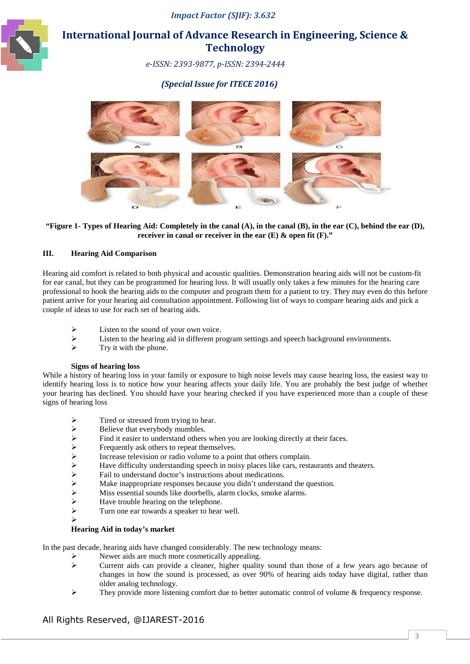

# **International Journal of Advance Research in Engineering, Science & Technology**

 *e-ISSN: 2393 ISSN: 2393-9877, p-ISSN: 2394-2444* 

## *(Special Issue for for ITECE 2016)*



### **"Figure 1- Types of Hearing Aid: Completely in the canal (A), in the canal (B), in the ear (C), behind the ear (D), receiver in canal or receiver in the ear (E) & open fit (F)."**

### **III. Hearing Aid Comparison**

Hearing aid comfort is related to both physical and acoustic qualities. Demonstration hearing aids will not be custom-fit for ear canal, but they can be programmed for hearing loss. It will usually only takes a few minutes for the hearing care professional to hook the hearing aids to the computer and program them for a patient to try. They may even do this before patient arrive for your hearing aid consultation appointment. Following list of ways to compare hearing aids and pick a couple of ideas to use for each set of hearing aids.

- $\triangleright$  Listen to the sound of your own voice.<br>  $\triangleright$  Listen to the hearing aid in different pr
- Example 1 ideas to use for each set of hearing aids.<br>
Fisten to the sound of your own voice.<br>
Fisten to the hearing aid in different program settings and speech background environments.
- $\triangleright$  Try it with the phone.

#### **Signs of hearing loss**

While a history of hearing loss in your family or exposure to high noise levels may cause hearing loss, the easiest way to identify hearing loss is to notice how your hearing affects your daily life. You are probably the best judge of whether your hearing has declined. You should have your hearing checked if you have experienced more than a couple of these signs of hearing loss

- 
- Believe that everybody mumbles.
- Find it easier to understand others when you are looking directly at their faces.
- →<br>
Tired or stressed from trying to hear.<br>
→<br>
Believe that everybody mumbles.<br>
→<br>
Find it easier to understand others where<br>
<br>
Frequently ask others to repeat thems<br>
<br>
—<br>
Mave difficulty understanding speech<br>
→<br>
Fail to u Frequently ask others to repeat themselves.
- $\triangleright$  Increase television or radio volume to a point that others complain.
- Have difficulty understanding speech in noisy places like cars, restaurants and theaters.
- $\triangleright$  Fail to understand doctor's instructions about medications.
- $\triangleright$  Make inappropriate responses because you didn't understand the question.
- > Miss essential sounds like doorbells, alarm clocks, smoke alarms.
- $\blacktriangleright$  Have trouble hearing on the telephone.
- $\triangleright$  Turn one ear towards a speaker to hear well.
- $\blacktriangleright$

#### **Hearing Aid in today's market**

In the past decade, hearing aids have changed considerably. The new technology means:

- Newer aids are much more cosmetically appealing.<br>  $\triangleright$  Current aids can provide a cleaner higher quality
- Current aids can provide a cleaner, higher quality sound than those of a few years ago because of changes in how the sound is processed, as over 90% of hearing aids today have digital, rather than older analog technology. changes in how the sound is processed, as over 90% of hearing aids today have digital, rather that older analog technology.<br>
Fhey provide more listening comfort due to better automatic control of volume & frequency respons
- 

## All Rights Reserved, @IJAREST @IJAREST-2016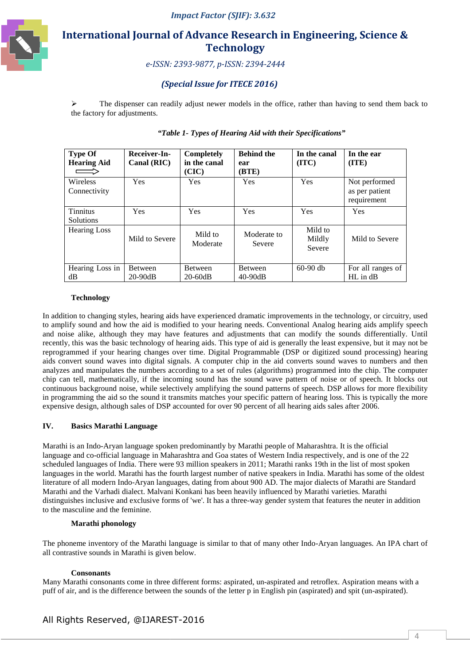

# **International Journal of Advance Research in Engineering, Science & Technology**

 *e-ISSN: 2393 ISSN: 2393-9877, p-ISSN: 2394-2444* 

## *(Special Issue for for ITECE 2016)*

> The dispenser can readily adjust newer models in the office, rather than having to send them back to the factory for adjustments.

| <b>Type Of</b><br><b>Hearing Aid</b> | Receiver-In-<br>Canal (RIC) | <b>Completely</b><br>in the canal<br>(CIC) | <b>Behind the</b><br>ear<br>(BTE) | In the canal<br>(TTC)       | In the ear<br>(TTE)                            |
|--------------------------------------|-----------------------------|--------------------------------------------|-----------------------------------|-----------------------------|------------------------------------------------|
| <b>Wireless</b><br>Connectivity      | <b>Yes</b>                  | Yes                                        | Yes                               | Yes                         | Not performed<br>as per patient<br>requirement |
| <b>Tinnitus</b><br>Solutions         | <b>Yes</b>                  | Yes                                        | Yes                               | Yes                         | Yes                                            |
| <b>Hearing Loss</b>                  | Mild to Severe              | Mild to<br>Moderate                        | Moderate to<br>Severe             | Mild to<br>Mildly<br>Severe | Mild to Severe                                 |
| Hearing Loss in<br>dB                | Between<br>$20-90dB$        | Between<br>$20-60dB$                       | Between<br>$40-90dB$              | $60-90$ db                  | For all ranges of<br>HL in dB                  |

## *"Table 1 1- Types of Hearing Aid with their Specifications Specifications"*

#### **Technology**

In addition to changing styles, hearing aids have experienced dramatic improvements in the technology, or circuitry, used to amplify sound and how the aid is modified to your hearing needs. Conventional Analog hearing aids amplify speech and noise alike, although they may have features and adjustments that can modify the sounds differentially. Until recently, this was the basic technology of hearing aids. This type of aid is generally the least expensive, but it may not be reprogrammed if your hearing changes over time. Digital Programmable (DSP or digitized sound processing) hearing recently, this was the basic technology of hearing aids. This type of aid is generally the least expensive, but it may not be<br>reprogrammed if your hearing changes over time. Digital Programmable (DSP or digitized sound pro analyzes and manipulates the numbers according to a set of rules (algorithms) programmed into the chip. The computer chip can tell, mathematically, if the incoming sound has the sound wave pattern of noise or of speech. It blocks out continuous background noise, while selectively amplifying the sound patterns of speech. DSP allows for more flexibility in programming the aid so the sound it transmits matches your specific pattern of hearing loss. This is typically the more expensive design, although sales of DSP accounted for over 90 percent of all hearing aids sales after 2006. ter chip in the aid converts sound waves to numbers and then<br>i of rules (algorithms) programmed into the chip. The computer<br>is the sound wave pattern of noise or of speech. It blocks out<br>ig the sound patterns of speech. DS

## **IV. Basics Marathi Language**

Marathi is an Indo-Aryan language spoken predominantly by Marathi people of Maharashtra. It is the official language and co-official language in Maharashtra and Goa states of Western India respectively, and is one of the 22 scheduled languages of India. There were 93 million speakers in 2011; Marathi ranks 19th in the list of most spoken languages in the world. Marathi has the fourth largest number of native speakers in India. Marathi has some of the oldest literature of all modern Indo-Aryan languages, dating from about 900 AD. The major dialects of Marathi are Standard Marathi and the Varhadi dialect. Malvani Konkani has been heavily influenced by Marathi varieties. Marathi distinguishes inclusive and exclusive forms of 'we'. It has a three-way gender system that features the neuter in addition to the masculine and the feminine.

#### **Marathi phonology**

The phoneme inventory of the Marathi language is similar to that of many other Indo-Aryan languages. An IPA chart of all contrastive sounds in Marathi is given below. The phoneme inventory of the Marathi language is similar to that of many other Indo-Aryan languages. An IPA chart<br>all contrastive sounds in Marathi is given below.<br>**Consonants**<br>Many Marathi consonants come in three differe

#### **Consonants**

puff of air, and is the difference between the sounds of the letter p in English pin (aspirated) and spit (un-aspirated).

## All Rights Reserved, @IJAREST @IJAREST-2016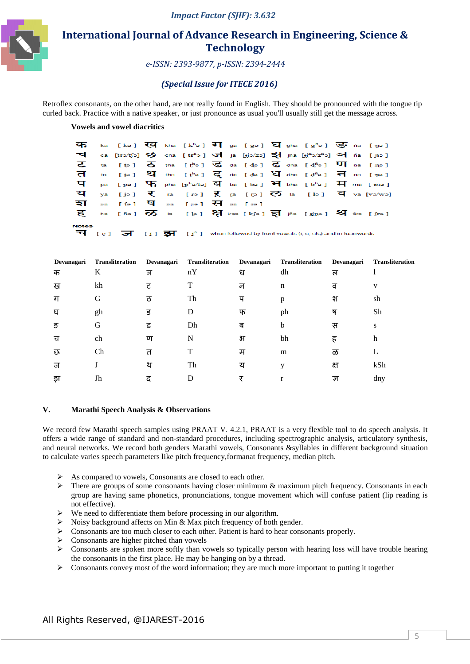

# **International Journal of Advance Research in Engineering, Science & Technology**

 *e-ISSN: 2393 ISSN: 2393-9877, p-ISSN: 2394-2444* 

## *(Special Issue for for ITECE 2016)*

Retroflex consonants, on the other hand, are not really found in English. They should be pronounced with the tongue tip curled back. Practice with a native speaker, or just pronounce as usual you'll usually still get the message across.

## **Vowels and vowel diacritics**

|              |  |  |                                                           |  |  | कि ka [kə] ख़ि kha [kʰə] ग] ga [gə] घि gha [gʰə] $\overline{S}$ r na [ŋə]                                                                  |  |  |
|--------------|--|--|-----------------------------------------------------------|--|--|--------------------------------------------------------------------------------------------------------------------------------------------|--|--|
|              |  |  |                                                           |  |  | $\overline{d}$ ca [tsə/tʃə] $\overline{y}$ cha [tsʰə] $\overline{d}$ ja [yjə/zə] $\overline{s}$ ] jha [yjʰə/zʰə] $\overline{y}$ ] ña [yıə] |  |  |
|              |  |  |                                                           |  |  | <b>乙</b> ta [te] $\overline{O}$ tha [te] $\overline{S}$ da [de] $\overline{G}$ dha [d <sup>6</sup> a] $\overline{VI}$ na [ne]              |  |  |
|              |  |  |                                                           |  |  | ति ta [t̪ə] थि tha [t̪ʰə] दि da [d̪ə] धि dha [d̪ʰə] नि na [n̪ə]                                                                            |  |  |
|              |  |  |                                                           |  |  | $\mathbf{\Psi}$ pa [pə] $\mathbf{\Psi}$ pha [phə/fə] $\mathbf{\Xi}$ ba [bə] $\mathbf{\Xi}$ bha [bhə] $\mathbf{\Xi}$ ma [mə]                |  |  |
|              |  |  |                                                           |  |  | $\overline{u}$ ya [jə] $\overline{v}$ ra [rə] $\overline{v}$ ra [rə] $\overline{v}$ la [lə] $\overline{u}$ va [və/wə]                      |  |  |
|              |  |  | হা $\frac{1}{2}$ sa [sə] $\frac{1}{2}$ sa [sə] सि sa [sə] |  |  |                                                                                                                                            |  |  |
|              |  |  |                                                           |  |  | $\overline{g}$ ha [fie] $\overline{\infty}$ la [le] $\overline{g}$ kṣa [k͡jə] $\overline{s}$ ] jña [jjne] $\overline{M}$ śra [ʃrə]         |  |  |
| <b>Notes</b> |  |  |                                                           |  |  |                                                                                                                                            |  |  |
|              |  |  |                                                           |  |  | <b>च</b> [ç] $\overline{g}$ [i] $\overline{g}$ [i] when followed by front vowels (i, e, etc) and in loanwords                              |  |  |

| Devanagari | <b>Transliteration</b> | Devanagari | Transliteration | Devanagari | <b>Transliteration</b> | Devanagari | <b>Transliteration</b> |
|------------|------------------------|------------|-----------------|------------|------------------------|------------|------------------------|
| क          | K                      | ञ          | nY              | ध          | dh                     | ल          |                        |
| ख          | kh                     | ट          | T               | न          | n                      | ਰ          | V                      |
| ग          | G                      | ਨ          | Th              | प          | p                      | श          | sh                     |
| घ          | gh                     | ड          | D               | फ          | ph                     | ष          | Sh                     |
| ङ          | G                      | ढ          | Dh              | ब          | b                      | स          | S                      |
| च          | ch                     | ण          | N               | भ          | bh                     | ह          | h                      |
| रु         | Ch                     | त          |                 | म          | m                      | ळ          | L                      |
| ज          |                        | थ          | Th              | य          |                        | क्ष        | kSh                    |
| झ          | Jh                     | द          | D               |            |                        | ज्ञ        | dny                    |

#### **V. Marathi Speech Analysis & Observations**

We record few Marathi speech samples using PRAAT V. 4.2.1, PRAAT is a very flexible tool to do speech analysis. It offers a wide range of standard and non-standard procedures, including spectrographic analysis, articulatory synthesis, offers a wide range of standard and non-standard procedures, including spectrographic analysis, articulatory synthesis, and neural networks. We record both genders Marathi vowels, Consonants &syllables in different backgro to calculate varies speech parameters like pitch frequency,formanat frequency, median pitch.

- As compared to vowels, Consonants are closed to each other.
- $\triangleright$  There are groups of some consonants having closer minimum & maximum pitch frequency. Consonants in each group are having same phonetics, pronunciations, tongue movement which will confuse patient (lip reading is not effective).
- $\triangleright$  We need to differentiate them before processing in our algorithm.
- $\triangleright$  Noisy background affects on Min & Max pitch frequency of both gender.
- Consonants are too much closer to each other. Patient is hard to hear consonants properly.
- $\triangleright$  Consonants are higher pitched than vowels
- $\triangleright$  Consonants are spoken more softly than vowels so typically person with hearing loss will have trouble hearing the consonants in the first place. He may be hanging on by a thread.
- $\triangleright$  Consonants convey most of the word information; they are much more important to putting it together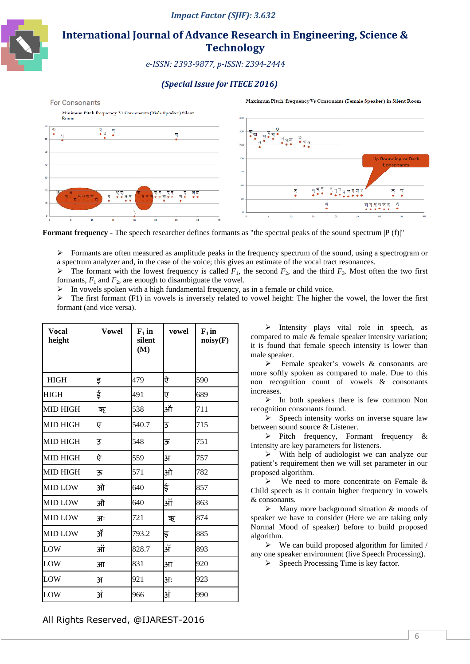

# **International Journal of Advance Research in Engineering, Science & Technology**

 *e-ISSN: 2393 ISSN: 2393-9877, p-ISSN: 2394-2444* 

## *(Special Issue for for ITECE 2016)*



**Formant frequency** - The speech researcher defines formants as "the spectral peaks of the sound spectrum  $|P(f)|$ "

 $\triangleright$  Formants are often measured as amplitude peaks in the frequency spectrum of the sound, using a spectrogram or a spectrum analyzer and, in the case of the voice; this gives an estimate of the vocal tract resonances.

 $\triangleright$  The formant with the lowest frequency is called  $F_1$ , the second  $F_2$ , and the third  $F_3$ . Most often the two first formants,  $F_1$  and  $F_2$ , are enough to disambiguate the vowel.

 $\triangleright$  In vowels spoken with a high fundamental frequency, as in a female or child voice.

 $\triangleright$  The first formant (F1) in vowels is inversely related to vowel height: The higher the vowel, the lower the first formant (and vice versa).

| Vocal<br>height | Vowel  | $F_1$ in<br>silent<br>(M) | vowel  | $F_1$ in<br>noisy(F) |  |
|-----------------|--------|---------------------------|--------|----------------------|--|
| <b>HIGH</b>     | इ      | 479                       | ऐ      | 590                  |  |
| <b>HIGH</b>     | ई      | 491                       | ए      | 689                  |  |
| <b>MID HIGH</b> | ऋ      | 538                       | औ      | 711                  |  |
| <b>MID HIGH</b> | ए      | 540.7                     | 3      | 715                  |  |
| MID HIGH        | 3      | 548                       | ऊ      | 751                  |  |
| MID HIGH        | ऐ      | 559                       | ЗT     | 757                  |  |
| MID HIGH        | ऊ      | 571                       | ओ      | 782                  |  |
| <b>MID LOW</b>  | ओ      | 640                       | ई      | 857                  |  |
| <b>MID LOW</b>  | औ      | 640                       | ऑ      | 863                  |  |
| <b>MID LOW</b>  | 31:    | 721                       | ऋ      | 874                  |  |
| <b>MID LOW</b>  | ॲ      | 793.2                     | इ      | 885                  |  |
| LOW             | ऑ      | 828.7                     | ॲ      | 893                  |  |
| LOW             | $3\Pi$ | 831                       | $3\Pi$ | 920                  |  |
| LOW             | 3Г     | 921                       | 31:    | 923                  |  |
| $_{\rm{LOW}}$   | अं     | 966                       | अं     | 990                  |  |

 $\triangleright$  Intensity plays vital role in speech, as compared to male & female speaker intensity variation; it is found that female speech intensity is lower than male speaker.

 Female speaker's vowels & consonants are more softly spoken as compared to male. Due to this non recognition count of vowels & consonants increases.

 In both speakers there is few common Non recognition consonants found.

 $\triangleright$  Speech intensity works on inverse square law between sound source & Listener.

 $\triangleright$  Pitch frequency, Formant frequency & Intensity are key parameters for listeners.

 $\triangleright$  With help of audiologist we can analyze our patient's requirement then we will set parameter in our proposed algorithm.

 $\triangleright$  We need to more concentrate on Female & Child speech as it contain higher frequency in vowels & consonants.

 $\triangleright$  Many more background situation & moods of speaker we have to consider (Here we are taking only Normal Mood of speaker) before to build proposed algorithm.

 $\triangleright$  We can build proposed algorithm for limited / any one speaker environment ( (live Speech Processing).

 $\triangleright$  Speech Processing Time is key factor.

All Rights Reserved, @IJAREST @IJAREST-2016